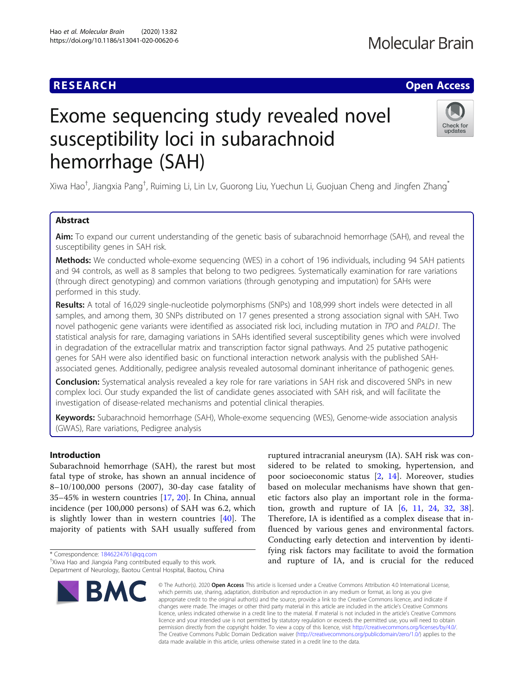# **RESEARCH CHE Open Access**

# Exome sequencing study revealed novel susceptibility loci in subarachnoid hemorrhage (SAH)



Xiwa Hao<sup>†</sup>, Jiangxia Pang<sup>†</sup>, Ruiming Li, Lin Lv, Guorong Liu, Yuechun Li, Guojuan Cheng and Jingfen Zhang<sup>\*</sup>

# Abstract

Aim: To expand our current understanding of the genetic basis of subarachnoid hemorrhage (SAH), and reveal the susceptibility genes in SAH risk.

Methods: We conducted whole-exome sequencing (WES) in a cohort of 196 individuals, including 94 SAH patients and 94 controls, as well as 8 samples that belong to two pedigrees. Systematically examination for rare variations (through direct genotyping) and common variations (through genotyping and imputation) for SAHs were performed in this study.

Results: A total of 16,029 single-nucleotide polymorphisms (SNPs) and 108,999 short indels were detected in all samples, and among them, 30 SNPs distributed on 17 genes presented a strong association signal with SAH. Two novel pathogenic gene variants were identified as associated risk loci, including mutation in TPO and PALD1. The statistical analysis for rare, damaging variations in SAHs identified several susceptibility genes which were involved in degradation of the extracellular matrix and transcription factor signal pathways. And 25 putative pathogenic genes for SAH were also identified basic on functional interaction network analysis with the published SAHassociated genes. Additionally, pedigree analysis revealed autosomal dominant inheritance of pathogenic genes.

**Conclusion:** Systematical analysis revealed a key role for rare variations in SAH risk and discovered SNPs in new complex loci. Our study expanded the list of candidate genes associated with SAH risk, and will facilitate the investigation of disease-related mechanisms and potential clinical therapies.

Keywords: Subarachnoid hemorrhage (SAH), Whole-exome sequencing (WES), Genome-wide association analysis (GWAS), Rare variations, Pedigree analysis

# Introduction

Subarachnoid hemorrhage (SAH), the rarest but most fatal type of stroke, has shown an annual incidence of 8–10/100,000 persons (2007), 30-day case fatality of 35–45% in western countries [\[17](#page-11-0), [20](#page-11-0)]. In China, annual incidence (per 100,000 persons) of SAH was 6.2, which is slightly lower than in western countries [\[40](#page-11-0)]. The majority of patients with SAH usually suffered from

\* Correspondence: [1846224761@qq.com](mailto:1846224761@qq.com) †

<sup>&</sup>lt;sup>+</sup>Xiwa Hao and Jiangxia Pang contributed equally to this work. Department of Neurology, Baotou Central Hospital, Baotou, China



ruptured intracranial aneurysm (IA). SAH risk was considered to be related to smoking, hypertension, and poor socioeconomic status [[2,](#page-10-0) [14](#page-10-0)]. Moreover, studies based on molecular mechanisms have shown that genetic factors also play an important role in the formation, growth and rupture of IA  $[6, 11, 24, 32, 38]$  $[6, 11, 24, 32, 38]$  $[6, 11, 24, 32, 38]$  $[6, 11, 24, 32, 38]$  $[6, 11, 24, 32, 38]$  $[6, 11, 24, 32, 38]$  $[6, 11, 24, 32, 38]$  $[6, 11, 24, 32, 38]$  $[6, 11, 24, 32, 38]$  $[6, 11, 24, 32, 38]$ . Therefore, IA is identified as a complex disease that influenced by various genes and environmental factors. Conducting early detection and intervention by identifying risk factors may facilitate to avoid the formation and rupture of IA, and is crucial for the reduced

© The Author(s), 2020 **Open Access** This article is licensed under a Creative Commons Attribution 4.0 International License, which permits use, sharing, adaptation, distribution and reproduction in any medium or format, as long as you give appropriate credit to the original author(s) and the source, provide a link to the Creative Commons licence, and indicate if changes were made. The images or other third party material in this article are included in the article's Creative Commons licence, unless indicated otherwise in a credit line to the material. If material is not included in the article's Creative Commons licence and your intended use is not permitted by statutory regulation or exceeds the permitted use, you will need to obtain permission directly from the copyright holder. To view a copy of this licence, visit [http://creativecommons.org/licenses/by/4.0/.](http://creativecommons.org/licenses/by/4.0/) The Creative Commons Public Domain Dedication waiver [\(http://creativecommons.org/publicdomain/zero/1.0/](http://creativecommons.org/publicdomain/zero/1.0/)) applies to the data made available in this article, unless otherwise stated in a credit line to the data.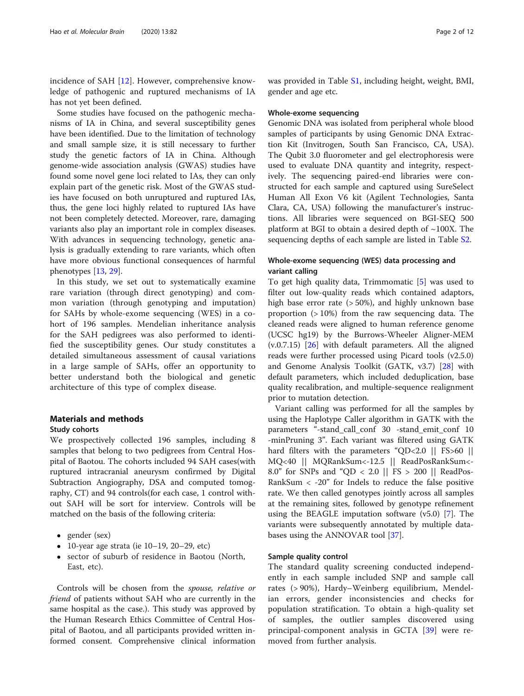incidence of SAH [\[12](#page-10-0)]. However, comprehensive knowledge of pathogenic and ruptured mechanisms of IA has not yet been defined.

Some studies have focused on the pathogenic mechanisms of IA in China, and several susceptibility genes have been identified. Due to the limitation of technology and small sample size, it is still necessary to further study the genetic factors of IA in China. Although genome-wide association analysis (GWAS) studies have found some novel gene loci related to IAs, they can only explain part of the genetic risk. Most of the GWAS studies have focused on both unruptured and ruptured IAs, thus, the gene loci highly related to ruptured IAs have not been completely detected. Moreover, rare, damaging variants also play an important role in complex diseases. With advances in sequencing technology, genetic analysis is gradually extending to rare variants, which often have more obvious functional consequences of harmful phenotypes [\[13](#page-10-0), [29\]](#page-11-0).

In this study, we set out to systematically examine rare variation (through direct genotyping) and common variation (through genotyping and imputation) for SAHs by whole-exome sequencing (WES) in a cohort of 196 samples. Mendelian inheritance analysis for the SAH pedigrees was also performed to identified the susceptibility genes. Our study constitutes a detailed simultaneous assessment of causal variations in a large sample of SAHs, offer an opportunity to better understand both the biological and genetic architecture of this type of complex disease.

# Materials and methods

# Study cohorts

We prospectively collected 196 samples, including 8 samples that belong to two pedigrees from Central Hospital of Baotou. The cohorts included 94 SAH cases(with ruptured intracranial aneurysm confirmed by Digital Subtraction Angiography, DSA and computed tomography, CT) and 94 controls(for each case, 1 control without SAH will be sort for interview. Controls will be matched on the basis of the following criteria:

- gender (sex)
- 10-year age strata (ie  $10-19$ ,  $20-29$ , etc)
- sector of suburb of residence in Baotou (North, East, etc).

Controls will be chosen from the spouse, relative or friend of patients without SAH who are currently in the same hospital as the case.). This study was approved by the Human Research Ethics Committee of Central Hospital of Baotou, and all participants provided written informed consent. Comprehensive clinical information

was provided in Table [S1,](#page-10-0) including height, weight, BMI, gender and age etc.

#### Whole-exome sequencing

Genomic DNA was isolated from peripheral whole blood samples of participants by using Genomic DNA Extraction Kit (Invitrogen, South San Francisco, CA, USA). The Qubit 3.0 fluorometer and gel electrophoresis were used to evaluate DNA quantity and integrity, respectively. The sequencing paired-end libraries were constructed for each sample and captured using SureSelect Human All Exon V6 kit (Agilent Technologies, Santa Clara, CA, USA) following the manufacturer's instructions. All libraries were sequenced on BGI-SEQ 500 platform at BGI to obtain a desired depth of  $\sim$ 100X. The sequencing depths of each sample are listed in Table [S2.](#page-10-0)

# Whole-exome sequencing (WES) data processing and variant calling

To get high quality data, Trimmomatic [[5\]](#page-10-0) was used to filter out low-quality reads which contained adaptors, high base error rate (> 50%), and highly unknown base proportion (> 10%) from the raw sequencing data. The cleaned reads were aligned to human reference genome (UCSC hg19) by the Burrows-Wheeler Aligner-MEM (v.0.7.15) [[26](#page-11-0)] with default parameters. All the aligned reads were further processed using Picard tools (v2.5.0) and Genome Analysis Toolkit (GATK, v3.7) [[28\]](#page-11-0) with default parameters, which included deduplication, base quality recalibration, and multiple-sequence realignment prior to mutation detection.

Variant calling was performed for all the samples by using the Haplotype Caller algorithm in GATK with the parameters "-stand\_call\_conf 30 -stand\_emit\_conf 10 -minPruning 3". Each variant was filtered using GATK hard filters with the parameters "QD<2.0 || FS>60 || MQ<40 || MQRankSum<-12.5 || ReadPosRankSum<- 8.0" for SNPs and "QD < 2.0 || FS > 200 || ReadPos-RankSum < -20" for Indels to reduce the false positive rate. We then called genotypes jointly across all samples at the remaining sites, followed by genotype refinement using the BEAGLE imputation software (v5.0) [[7\]](#page-10-0). The variants were subsequently annotated by multiple databases using the ANNOVAR tool [[37\]](#page-11-0).

# Sample quality control

The standard quality screening conducted independently in each sample included SNP and sample call rates (> 90%), Hardy–Weinberg equilibrium, Mendelian errors, gender inconsistencies and checks for population stratification. To obtain a high-quality set of samples, the outlier samples discovered using principal-component analysis in GCTA [[39\]](#page-11-0) were removed from further analysis.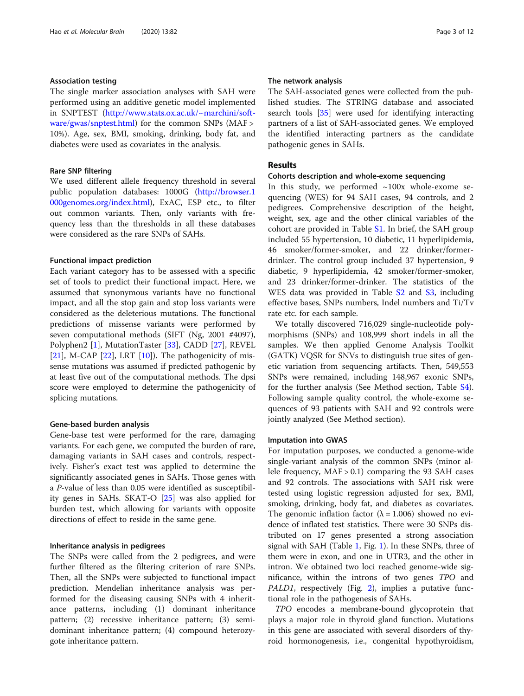# Association testing

The single marker association analyses with SAH were performed using an additive genetic model implemented in SNPTEST ([http://www.stats.ox.ac.uk/~marchini/soft](http://www.stats.ox.ac.uk/~marchini/software/gwas/snptest.html)[ware/gwas/snptest.html](http://www.stats.ox.ac.uk/~marchini/software/gwas/snptest.html)) for the common SNPs (MAF > 10%). Age, sex, BMI, smoking, drinking, body fat, and diabetes were used as covariates in the analysis.

# Rare SNP filtering

We used different allele frequency threshold in several public population databases: 1000G ([http://browser.1](http://browser.1000genomes.org/index.html) [000genomes.org/index.html](http://browser.1000genomes.org/index.html)), ExAC, ESP etc., to filter out common variants. Then, only variants with frequency less than the thresholds in all these databases were considered as the rare SNPs of SAHs.

# Functional impact prediction

Each variant category has to be assessed with a specific set of tools to predict their functional impact. Here, we assumed that synonymous variants have no functional impact, and all the stop gain and stop loss variants were considered as the deleterious mutations. The functional predictions of missense variants were performed by seven computational methods (SIFT (Ng, 2001 #4097), Polyphen2 [[1\]](#page-10-0), MutationTaster [\[33\]](#page-11-0), CADD [[27\]](#page-11-0), REVEL [[21\]](#page-11-0), M-CAP  $[22]$ , LRT  $[10]$  $[10]$ ). The pathogenicity of missense mutations was assumed if predicted pathogenic by at least five out of the computational methods. The dpsi score were employed to determine the pathogenicity of splicing mutations.

### Gene-based burden analysis

Gene-base test were performed for the rare, damaging variants. For each gene, we computed the burden of rare, damaging variants in SAH cases and controls, respectively. Fisher's exact test was applied to determine the significantly associated genes in SAHs. Those genes with a P-value of less than 0.05 were identified as susceptibility genes in SAHs. SKAT-O [\[25](#page-11-0)] was also applied for burden test, which allowing for variants with opposite directions of effect to reside in the same gene.

### Inheritance analysis in pedigrees

The SNPs were called from the 2 pedigrees, and were further filtered as the filtering criterion of rare SNPs. Then, all the SNPs were subjected to functional impact prediction. Mendelian inheritance analysis was performed for the diseasing causing SNPs with 4 inheritance patterns, including (1) dominant inheritance pattern; (2) recessive inheritance pattern; (3) semidominant inheritance pattern; (4) compound heterozygote inheritance pattern.

# The network analysis

The SAH-associated genes were collected from the published studies. The STRING database and associated search tools [[35](#page-11-0)] were used for identifying interacting partners of a list of SAH-associated genes. We employed the identified interacting partners as the candidate pathogenic genes in SAHs.

# Results

# Cohorts description and whole-exome sequencing

In this study, we performed  $\sim 100x$  whole-exome sequencing (WES) for 94 SAH cases, 94 controls, and 2 pedigrees. Comprehensive description of the height, weight, sex, age and the other clinical variables of the cohort are provided in Table [S1.](#page-10-0) In brief, the SAH group included 55 hypertension, 10 diabetic, 11 hyperlipidemia, 46 smoker/former-smoker, and 22 drinker/formerdrinker. The control group included 37 hypertension, 9 diabetic, 9 hyperlipidemia, 42 smoker/former-smoker, and 23 drinker/former-drinker. The statistics of the WES data was provided in Table S<sub>2</sub> and S<sub>3</sub>, including effective bases, SNPs numbers, Indel numbers and Ti/Tv rate etc. for each sample.

We totally discovered 716,029 single-nucleotide polymorphisms (SNPs) and 108,999 short indels in all the samples. We then applied Genome Analysis Toolkit (GATK) VQSR for SNVs to distinguish true sites of genetic variation from sequencing artifacts. Then, 549,553 SNPs were remained, including 148,967 exonic SNPs, for the further analysis (See Method section, Table [S4](#page-10-0)). Following sample quality control, the whole-exome sequences of 93 patients with SAH and 92 controls were jointly analyzed (See Method section).

# Imputation into GWAS

For imputation purposes, we conducted a genome-wide single-variant analysis of the common SNPs (minor allele frequency, MAF > 0.1) comparing the 93 SAH cases and 92 controls. The associations with SAH risk were tested using logistic regression adjusted for sex, BMI, smoking, drinking, body fat, and diabetes as covariates. The genomic inflation factor ( $\lambda = 1.006$ ) showed no evidence of inflated test statistics. There were 30 SNPs distributed on 17 genes presented a strong association signal with SAH (Table [1](#page-3-0), Fig. [1\)](#page-4-0). In these SNPs, three of them were in exon, and one in UTR3, and the other in intron. We obtained two loci reached genome-wide significance, within the introns of two genes TPO and PALD1, respectively (Fig. [2\)](#page-4-0), implies a putative functional role in the pathogenesis of SAHs.

TPO encodes a membrane-bound glycoprotein that plays a major role in thyroid gland function. Mutations in this gene are associated with several disorders of thyroid hormonogenesis, i.e., congenital hypothyroidism,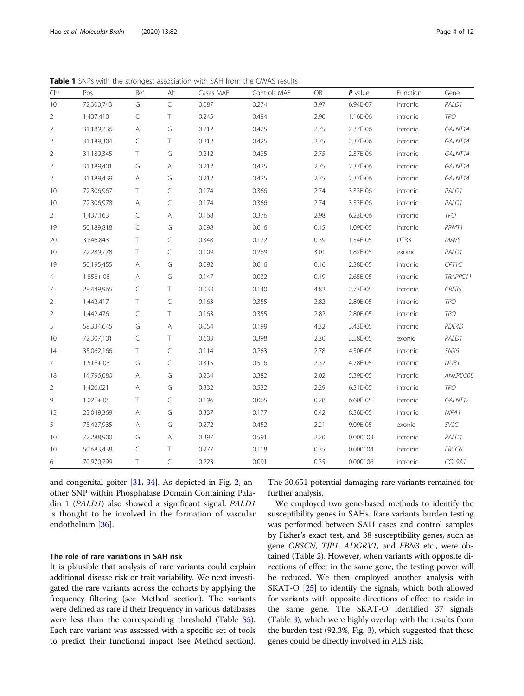<span id="page-3-0"></span>Table 1 SNPs with the strongest association with SAH from the GWAS results

| Chr            | Pos          | Ref          | Alt          | Cases MAF | Controls MAF | <b>OR</b> | $P$ value | Function | Gene       |
|----------------|--------------|--------------|--------------|-----------|--------------|-----------|-----------|----------|------------|
| 10             | 72,300,743   | G            | C            | 0.087     | 0.274        | 3.97      | 6.94E-07  | intronic | PALD1      |
| $\overline{2}$ | 1,437,410    | C            | T            | 0.245     | 0.484        | 2.90      | 1.16E-06  | intronic | <b>TPO</b> |
| 2              | 31,189,236   | $\mathsf{A}$ | G            | 0.212     | 0.425        | 2.75      | 2.37E-06  | intronic | GALNT14    |
| $\overline{2}$ | 31,189,304   | $\subset$    | $\top$       | 0.212     | 0.425        | 2.75      | 2.37E-06  | intronic | GALNT14    |
| $\overline{2}$ | 31,189,345   | T            | G            | 0.212     | 0.425        | 2.75      | 2.37E-06  | intronic | GALNT14    |
| $\overline{2}$ | 31,189,401   | G            | Α            | 0.212     | 0.425        | 2.75      | 2.37E-06  | intronic | GALNT14    |
| $\overline{2}$ | 31,189,439   | Α            | G            | 0.212     | 0.425        | 2.75      | 2.37E-06  | intronic | GALNT14    |
| 10             | 72,306,967   | T            | $\subset$    | 0.174     | 0.366        | 2.74      | 3.33E-06  | intronic | PALD1      |
| 10             | 72,306,978   | $\mathsf{A}$ | $\subset$    | 0.174     | 0.366        | 2.74      | 3.33E-06  | intronic | PALD1      |
| $\overline{2}$ | 1,437,163    | $\subset$    | $\mathsf{A}$ | 0.168     | 0.376        | 2.98      | 6.23E-06  | intronic | <b>TPO</b> |
| 19             | 50,189,818   | C            | G            | 0.098     | 0.016        | 0.15      | 1.09E-05  | intronic | PRMT1      |
| 20             | 3,846,843    | $\top$       | $\subset$    | 0.348     | 0.172        | 0.39      | 1.34E-05  | UTR3     | MAVS       |
| 10             | 72,289,778   | $\top$       | $\subset$    | 0.109     | 0.269        | 3.01      | 1.82E-05  | exonic   | PALD1      |
| 19             | 50,195,455   | Α            | G            | 0.092     | 0.016        | 0.16      | 2.38E-05  | intronic | CPT1C      |
| 4              | $1.85E + 08$ | Α            | G            | 0.147     | 0.032        | 0.19      | 2.65E-05  | intronic | TRAPPC11   |
| 7              | 28,449,965   | C            | $\top$       | 0.033     | 0.140        | 4.82      | 2.73E-05  | intronic | CREB5      |
| $\overline{2}$ | 1,442,417    | T            | $\subset$    | 0.163     | 0.355        | 2.82      | 2.80E-05  | intronic | <b>TPO</b> |
| 2              | 1,442,476    | $\subset$    | T            | 0.163     | 0.355        | 2.82      | 2.80E-05  | intronic | <b>TPO</b> |
| 5              | 58,334,645   | G            | Α            | 0.054     | 0.199        | 4.32      | 3.43E-05  | intronic | PDE4D      |
| 10             | 72,307,101   | $\subset$    | T            | 0.603     | 0.398        | 2.30      | 3.58E-05  | exonic   | PALD1      |
| 14             | 35,062,166   | Τ            | $\subset$    | 0.114     | 0.263        | 2.78      | 4.50E-05  | intronic | SNX6       |
| 7              | $1.51E + 08$ | G            | $\subset$    | 0.315     | 0.516        | 2.32      | 4.78E-05  | intronic | NUB1       |
| 18             | 14,796,080   | Α            | G            | 0.234     | 0.382        | 2.02      | 5.39E-05  | intronic | ANKRD30B   |
| $\overline{2}$ | 1,426,621    | Α            | G            | 0.332     | 0.532        | 2.29      | 6.31E-05  | intronic | <b>TPO</b> |
| 9              | $1.02E + 08$ | T            | $\subset$    | 0.196     | 0.065        | 0.28      | 6.60E-05  | intronic | GALNT12    |
| 15             | 23,049,369   | $\mathsf{A}$ | G            | 0.337     | 0.177        | 0.42      | 8.36E-05  | intronic | NIPA1      |
| 5              | 75,427,935   | $\mathsf{A}$ | G            | 0.272     | 0.452        | 2.21      | 9.09E-05  | exonic   | SV2C       |
| 10             | 72,288,900   | G            | Α            | 0.397     | 0.591        | 2.20      | 0.000103  | intronic | PALD1      |
| 10             | 50,683,438   | C            | $\top$       | 0.277     | 0.118        | 0.35      | 0.000104  | intronic | ERCC6      |
| 6              | 70,970,299   | Τ            | $\subset$    | 0.223     | 0.091        | 0.35      | 0.000106  | intronic | COL9A1     |

and congenital goiter [\[31,](#page-11-0) [34](#page-11-0)]. As depicted in Fig. [2,](#page-4-0) another SNP within Phosphatase Domain Containing Paladin 1 (PALD1) also showed a significant signal. PALD1 is thought to be involved in the formation of vascular endothelium [\[36](#page-11-0)].

# The role of rare variations in SAH risk

It is plausible that analysis of rare variants could explain additional disease risk or trait variability. We next investigated the rare variants across the cohorts by applying the frequency filtering (see Method section). The variants were defined as rare if their frequency in various databases were less than the corresponding threshold (Table [S5](#page-10-0)). Each rare variant was assessed with a specific set of tools to predict their functional impact (see Method section).

The 30,651 potential damaging rare variants remained for further analysis.

We employed two gene-based methods to identify the susceptibility genes in SAHs. Rare variants burden testing was performed between SAH cases and control samples by Fisher's exact test, and 38 susceptibility genes, such as gene OBSCN, TJP1, ADGRV1, and FBN3 etc., were obtained (Table [2\)](#page-5-0). However, when variants with opposite directions of effect in the same gene, the testing power will be reduced. We then employed another analysis with SKAT-O [\[25\]](#page-11-0) to identify the signals, which both allowed for variants with opposite directions of effect to reside in the same gene. The SKAT-O identified 37 signals (Table [3](#page-6-0)), which were highly overlap with the results from the burden test (92.3%, Fig. [3](#page-7-0)), which suggested that these genes could be directly involved in ALS risk.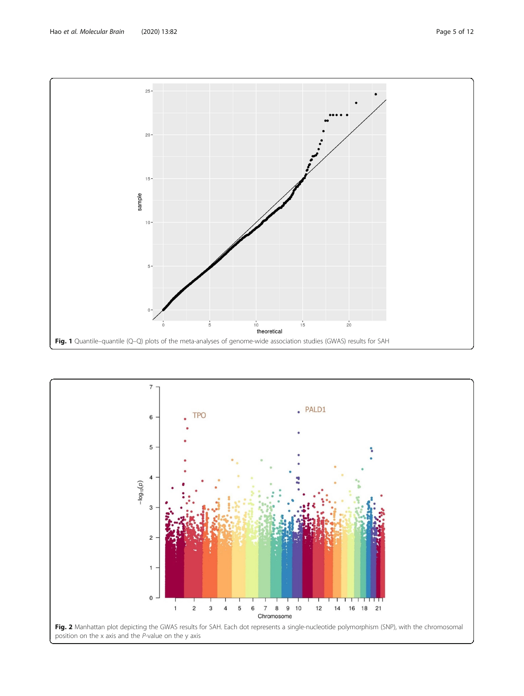<span id="page-4-0"></span>

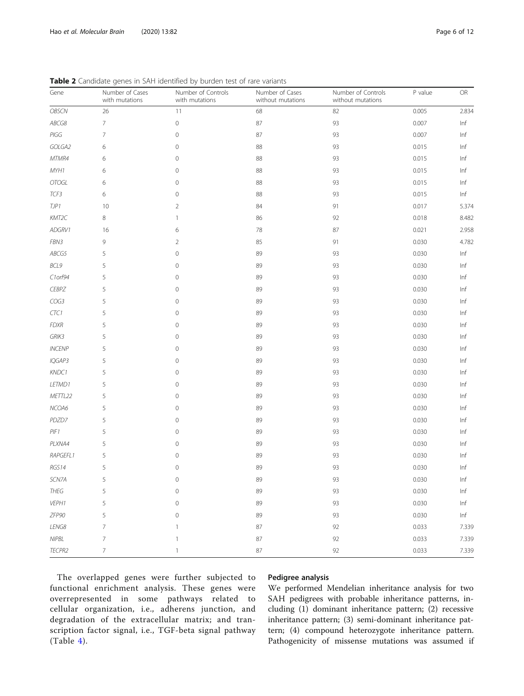| Gene          | Number of Cases<br>with mutations | Number of Controls<br>with mutations | Number of Cases<br>without mutations | Number of Controls<br>without mutations | P value | ${\sf OR}$ |
|---------------|-----------------------------------|--------------------------------------|--------------------------------------|-----------------------------------------|---------|------------|
| OBSCN         | 26                                | 11                                   | 68                                   | 82                                      | 0.005   | 2.834      |
| ABCG8         | 7                                 | $\mathbb O$                          | $87\,$                               | 93                                      | 0.007   | Inf        |
| PIGG          | 7                                 | $\mathbf 0$                          | 87                                   | 93                                      | 0.007   | Inf        |
| GOLGA2        | 6                                 | 0                                    | 88                                   | 93                                      | 0.015   | Inf        |
| MTMR4         | 6                                 | $\mathbf 0$                          | 88                                   | 93                                      | 0.015   | Inf        |
| MYH1          | 6                                 | 0                                    | 88                                   | 93                                      | 0.015   | Inf        |
| <b>OTOGL</b>  | 6                                 | $\mathbf 0$                          | 88                                   | 93                                      | 0.015   | Inf        |
| TCF3          | 6                                 | 0                                    | 88                                   | 93                                      | 0.015   | Inf        |
| TJP1          | 10                                | $\overline{2}$                       | 84                                   | 91                                      | 0.017   | 5.374      |
| KMT2C         | 8                                 | -1                                   | 86                                   | 92                                      | 0.018   | 8.482      |
| ADGRV1        | 16                                | 6                                    | 78                                   | 87                                      | 0.021   | 2.958      |
| FBN3          | 9                                 | $\overline{2}$                       | 85                                   | 91                                      | 0.030   | 4.782      |
| ABCG5         | 5                                 | $\mathbf 0$                          | 89                                   | 93                                      | 0.030   | Inf        |
| BCL9          | 5                                 | $\mathbf 0$                          | 89                                   | 93                                      | 0.030   | Inf        |
| C1orf94       | 5                                 | $\mathbf 0$                          | 89                                   | 93                                      | 0.030   | Inf        |
| <b>CEBPZ</b>  | 5                                 | 0                                    | 89                                   | 93                                      | 0.030   | Inf        |
| COG3          | 5                                 | $\mathbf 0$                          | 89                                   | 93                                      | 0.030   | Inf        |
| CTC1          | 5                                 | 0                                    | 89                                   | 93                                      | 0.030   | Inf        |
| <b>FDXR</b>   | 5                                 | 0                                    | 89                                   | 93                                      | 0.030   | Inf        |
| GRIK3         | 5                                 | 0                                    | 89                                   | 93                                      | 0.030   | Inf        |
| <b>INCENP</b> | 5                                 | $\mathbf 0$                          | 89                                   | 93                                      | 0.030   | Inf        |
| IQGAP3        | 5                                 | 0                                    | 89                                   | 93                                      | 0.030   | Inf        |
| KNDC1         | 5                                 | $\mathbf 0$                          | 89                                   | 93                                      | 0.030   | Inf        |
| LETMD1        | 5                                 | $\mathbf 0$                          | 89                                   | 93                                      | 0.030   | Inf        |
| METTL22       | 5                                 | $\mathbf 0$                          | 89                                   | 93                                      | 0.030   | Inf        |
| NCOA6         | 5                                 | 0                                    | 89                                   | 93                                      | 0.030   | Inf        |
| PDZD7         | 5                                 | 0                                    | 89                                   | 93                                      | 0.030   | Inf        |
| PIF1          | 5                                 | 0                                    | 89                                   | 93                                      | 0.030   | Inf        |
| PLXNA4        | 5                                 | $\mathbf 0$                          | 89                                   | 93                                      | 0.030   | Inf        |
| RAPGEFL1      | 5                                 | 0                                    | 89                                   | 93                                      | 0.030   | Inf        |
| RGS14         | 5                                 | 0                                    | 89                                   | 93                                      | 0.030   | Inf        |
| SCN7A         | 5                                 | 0                                    | 89                                   | 93                                      | 0.030   | Inf        |
| THEG          | 5                                 | $\mathbf 0$                          | 89                                   | 93                                      | 0.030   | Inf        |
| VEPH1         | 5                                 | $\circ$                              | 89                                   | 93                                      | 0.030   | Inf        |
| ZFP90         | 5                                 | $\mathbf 0$                          | 89                                   | 93                                      | 0.030   | Inf        |
| LENG8         | 7                                 | -1                                   | 87                                   | 92                                      | 0.033   | 7.339      |
| <b>NIPBL</b>  | $\overline{7}$                    | $\mathbf{1}$                         | 87                                   | 92                                      | 0.033   | 7.339      |
| TECPR2        | 7                                 | $\mathbf{1}$                         | 87                                   | 92                                      | 0.033   | 7.339      |

<span id="page-5-0"></span>Table 2 Candidate genes in SAH identified by burden test of rare variants

The overlapped genes were further subjected to functional enrichment analysis. These genes were overrepresented in some pathways related to cellular organization, i.e., adherens junction, and degradation of the extracellular matrix; and transcription factor signal, i.e., TGF-beta signal pathway  $(Table 4).$  $(Table 4).$  $(Table 4).$ 

# Pedigree analysis

We performed Mendelian inheritance analysis for two SAH pedigrees with probable inheritance patterns, including (1) dominant inheritance pattern; (2) recessive inheritance pattern; (3) semi-dominant inheritance pattern; (4) compound heterozygote inheritance pattern. Pathogenicity of missense mutations was assumed if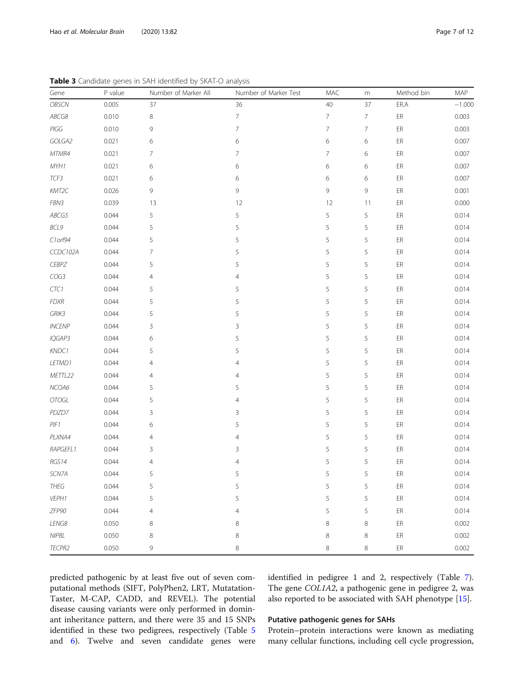| Gene          | P value | Number of Marker All | Number of Marker Test | MAC            | m  | Method bin | MAP      |
|---------------|---------|----------------------|-----------------------|----------------|----|------------|----------|
| OBSCN         | 0.005   | 37                   | 36                    | 40             | 37 | ER.A       | $-1.000$ |
| ABCG8         | 0.010   | 8                    | $\overline{7}$        | $\overline{7}$ | 7  | ER         | 0.003    |
| PIGG          | 0.010   | 9                    | $\overline{7}$        | $\overline{7}$ | 7  | ER         | 0.003    |
| GOLGA2        | 0.021   | 6                    | 6                     | 6              | 6  | ER         | 0.007    |
| MTMR4         | 0.021   | $\overline{7}$       | $\overline{7}$        | $\overline{7}$ | 6  | ER         | 0.007    |
| MYH1          | 0.021   | 6                    | 6                     | 6              | 6  | ER         | 0.007    |
| TCF3          | 0.021   | 6                    | 6                     | 6              | 6  | ER         | 0.007    |
| KMT2C         | 0.026   | 9                    | 9                     | 9              | 9  | ER         | 0.001    |
| FBN3          | 0.039   | 13                   | 12                    | 12             | 11 | ER         | 0.000    |
| ABCG5         | 0.044   | 5                    | 5                     | 5              | 5  | ER         | 0.014    |
| BCL9          | 0.044   | 5                    | 5                     | 5              | 5  | ER         | 0.014    |
| $C1$ orf94    | 0.044   | 5                    | 5                     | 5              | 5  | ER         | 0.014    |
| CCDC102A      | 0.044   | $\overline{7}$       | 5                     | 5              | 5  | ER         | 0.014    |
| <b>CEBPZ</b>  | 0.044   | 5                    | 5                     | 5              | 5  | ER         | 0.014    |
| COG3          | 0.044   | $\overline{4}$       | $\overline{4}$        | 5              | 5  | ER         | 0.014    |
| CTC1          | 0.044   | 5                    | 5                     | 5              | 5  | ER         | 0.014    |
| <b>FDXR</b>   | 0.044   | 5                    | 5                     | 5              | 5  | ER         | 0.014    |
| GRIK3         | 0.044   | 5                    | 5                     | 5              | 5  | ER         | 0.014    |
| <b>INCENP</b> | 0.044   | $\mathsf 3$          | 3                     | 5              | 5  | ER         | 0.014    |
| IQGAP3        | 0.044   | 6                    | 5                     | 5              | 5  | ER         | 0.014    |
| KNDC1         | 0.044   | 5                    | 5                     | 5              | 5  | ER         | 0.014    |
| LETMD1        | 0.044   | 4                    | 4                     | 5              | 5  | ER         | 0.014    |
| METTL22       | 0.044   | 4                    | 4                     | 5              | 5  | ER         | 0.014    |
| NCOA6         | 0.044   | 5                    | 5                     | 5              | 5  | ER         | 0.014    |
| OTOGL         | 0.044   | 5                    | 4                     | 5              | 5  | ER         | 0.014    |
| PDZD7         | 0.044   | $\mathsf 3$          | 3                     | 5              | 5  | ER         | 0.014    |
| PIF1          | 0.044   | 6                    | 5                     | 5              | 5  | ER         | 0.014    |
| PLXNA4        | 0.044   | 4                    | 4                     | 5              | 5  | ER         | 0.014    |
| RAPGEFL1      | 0.044   | 3                    | 3                     | 5              | 5  | ER         | 0.014    |
| RGS14         | 0.044   | $\overline{4}$       | $\overline{4}$        | 5              | 5  | ER         | 0.014    |
| SCN7A         | 0.044   | 5                    | 5                     | 5              | 5  | ER         | 0.014    |
| <b>THEG</b>   | 0.044   | 5                    | 5                     | 5              | 5  | ${\sf ER}$ | 0.014    |
| VEPH1         | 0.044   | 5                    | 5                     | 5              | 5  | ER         | 0.014    |
| ZFP90         | 0.044   | 4                    | $\overline{4}$        | 5              | 5  | ER         | 0.014    |
| LENG8         | 0.050   | 8                    | 8                     | 8              | 8  | ER         | 0.002    |
| NIPBL         | 0.050   | 8                    | $\,8\,$               | 8              | 8  | ER         | 0.002    |
| TECPR2        | 0.050   | 9                    | $\,8\,$               | 8              | 8  | ${\sf ER}$ | 0.002    |

<span id="page-6-0"></span>Table 3 Candidate genes in SAH identified by SKAT-O analysis

predicted pathogenic by at least five out of seven computational methods (SIFT, PolyPhen2, LRT, Mutatation-Taster, M-CAP, CADD, and REVEL). The potential disease causing variants were only performed in dominant inheritance pattern, and there were 35 and 15 SNPs identified in these two pedigrees, respectively (Table [5](#page-8-0) and [6](#page-9-0)). Twelve and seven candidate genes were

# identified in pedigree 1 and 2, respectively (Table [7](#page-9-0)). The gene COL1A2, a pathogenic gene in pedigree 2, was also reported to be associated with SAH phenotype [\[15](#page-11-0)].

# Putative pathogenic genes for SAHs

Protein–protein interactions were known as mediating many cellular functions, including cell cycle progression,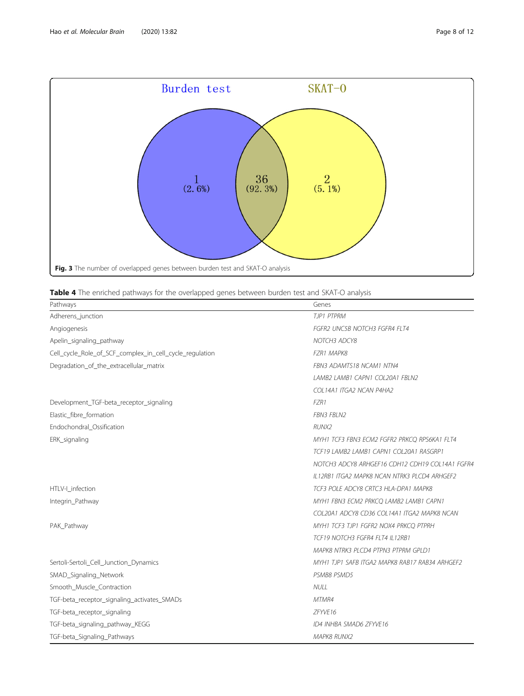<span id="page-7-0"></span>

|  |  |  | Table 4 The enriched pathways for the overlapped genes between burden test and SKAT-O analysis |
|--|--|--|------------------------------------------------------------------------------------------------|
|  |  |  |                                                                                                |

| Pathways                                                | Genes                                           |
|---------------------------------------------------------|-------------------------------------------------|
| Adherens_junction                                       | TJP1 PTPRM                                      |
| Angiogenesis                                            | <b>FGFR2 UNC5B NOTCH3 FGFR4 FLT4</b>            |
| Apelin_signaling_pathway                                | NOTCH3 ADCY8                                    |
| Cell_cycle_Role_of_SCF_complex_in_cell_cycle_regulation | <b>FZR1 MAPK8</b>                               |
| Degradation_of_the_extracellular_matrix                 | FBN3 ADAMTS18 NCAM1 NTN4                        |
|                                                         | LAMB2 LAMB1 CAPN1 COL20A1 FBLN2                 |
|                                                         | COL14A1 ITGA2 NCAN P4HA2                        |
| Development_TGF-beta_receptor_signaling                 | FZR1                                            |
| Elastic_fibre_formation                                 | <b>FBN3 FBLN2</b>                               |
| Endochondral Ossification                               | RUNX2                                           |
| ERK_signaling                                           | MYH1 TCF3 FBN3 ECM2 FGFR2 PRKCO RPS6KA1 FLT4    |
|                                                         | TCF19 LAMB2 LAMB1 CAPN1 COL20A1 RASGRP1         |
|                                                         | NOTCH3 ADCY8 ARHGEF16 CDH12 CDH19 COL14A1 FGFR4 |
|                                                         | IL12RB1 ITGA2 MAPK8 NCAN NTRK3 PLCD4 ARHGEF2    |
| HTLV-I infection                                        | TCF3 POLE ADCY8 CRTC3 HLA-DPA1 MAPK8            |
| Integrin_Pathway                                        | MYH1 FBN3 ECM2 PRKCQ LAMB2 LAMB1 CAPN1          |
|                                                         | COL20A1 ADCY8 CD36 COL14A1 ITGA2 MAPK8 NCAN     |
| PAK Pathway                                             | MYH1 TCF3 TJP1 FGFR2 NOX4 PRKCO PTPRH           |
|                                                         | TCF19 NOTCH3 FGFR4 FLT4 IL12RB1                 |
|                                                         | MAPK8 NTRK3 PLCD4 PTPN3 PTPRM GPLD1             |
| Sertoli-Sertoli_Cell_Junction_Dynamics                  | MYH1 TJP1 SAFB ITGA2 MAPK8 RAB17 RAB34 ARHGEF2  |
| SMAD_Signaling_Network                                  | PSMB8 PSMD5                                     |
| Smooth_Muscle_Contraction                               | <b>NULL</b>                                     |
| TGF-beta_receptor_signaling_activates_SMADs             | MTMR4                                           |
| TGF-beta_receptor_signaling                             | 7FYVF16                                         |
| TGF-beta_signaling_pathway_KEGG                         | ID4 INHBA SMAD6 ZFYVE16                         |
| TGF-beta_Signaling_Pathways                             | <b>MAPK8 RUNX2</b>                              |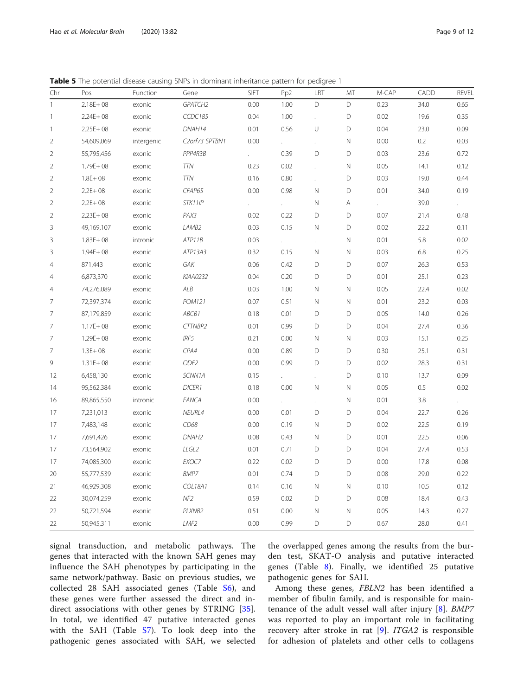<span id="page-8-0"></span>Table 5 The potential disease causing SNPs in dominant inheritance pattern for pedigree 1

| Chr                      | Pos          | Function   | Gene              | <b>SIFT</b> | Pp <sub>2</sub> | LRT                  | MT           | M-CAP | <b>CADD</b> | <b>REVEL</b> |
|--------------------------|--------------|------------|-------------------|-------------|-----------------|----------------------|--------------|-------|-------------|--------------|
| 1                        | $2.18E + 08$ | exonic     | GPATCH2           | 0.00        | 1.00            | D                    | D            | 0.23  | 34.0        | 0.65         |
| $\overline{\phantom{a}}$ | $2.24E + 08$ | exonic     | CCDC185           | 0.04        | 1.00            | $\ddot{\phantom{a}}$ | D            | 0.02  | 19.6        | 0.35         |
| $\overline{\phantom{a}}$ | $2.25E + 08$ | exonic     | DNAH14            | 0.01        | 0.56            | U                    | D            | 0.04  | 23.0        | 0.09         |
| $\overline{2}$           | 54,609,069   | intergenic | C2orf73 SPTBN1    | 0.00        |                 | $\ddot{\phantom{0}}$ | $\hbox{N}$   | 0.00  | $0.2\,$     | 0.03         |
| $\overline{2}$           | 55,795,456   | exonic     | PPP4R3B           |             | 0.39            | D                    | D            | 0.03  | 23.6        | 0.72         |
| $\overline{2}$           | $1.79E + 08$ | exonic     | <b>TTN</b>        | 0.23        | 0.02            |                      | $\hbox{N}$   | 0.05  | 14.1        | 0.12         |
| $\sqrt{2}$               | $1.8E + 08$  | exonic     | <b>TTN</b>        | 0.16        | 0.80            |                      | D            | 0.03  | 19.0        | 0.44         |
| $\overline{2}$           | $2.2E + 08$  | exonic     | CFAP65            | 0.00        | 0.98            | N                    | D            | 0.01  | 34.0        | 0.19         |
| $\overline{2}$           | $2.2E + 08$  | exonic     | STK11IP           |             |                 | Ν                    | Α            |       | 39.0        |              |
| $\overline{2}$           | $2.23E + 08$ | exonic     | PAX3              | 0.02        | 0.22            | D                    | D            | 0.07  | 21.4        | 0.48         |
| 3                        | 49,169,107   | exonic     | LAMB2             | 0.03        | 0.15            | $\hbox{N}$           | D            | 0.02  | 22.2        | 0.11         |
| 3                        | $1.83E + 08$ | intronic   | ATP11B            | 0.03        |                 | ¥.                   | $\hbox{N}$   | 0.01  | 5.8         | 0.02         |
| 3                        | $1.94E + 08$ | exonic     | ATP13A3           | 0.32        | 0.15            | $\hbox{N}$           | $\hbox{N}$   | 0.03  | 6.8         | 0.25         |
| 4                        | 871,443      | exonic     | GAK               | 0.06        | 0.42            | D                    | D            | 0.07  | 26.3        | 0.53         |
| 4                        | 6,873,370    | exonic     | KIAA0232          | 0.04        | 0.20            | D                    | D            | 0.01  | 25.1        | 0.23         |
| 4                        | 74,276,089   | exonic     | ALB               | 0.03        | 1.00            | Ν                    | $\mathsf{N}$ | 0.05  | 22.4        | 0.02         |
| 7                        | 72,397,374   | exonic     | POM121            | 0.07        | 0.51            | Ν                    | $\mathsf N$  | 0.01  | 23.2        | 0.03         |
| 7                        | 87,179,859   | exonic     | ABCB1             | 0.18        | 0.01            | D                    | D            | 0.05  | 14.0        | 0.26         |
| 7                        | $1.17E + 08$ | exonic     | CTTNBP2           | 0.01        | 0.99            | D                    | D            | 0.04  | 27.4        | 0.36         |
| 7                        | $1.29E + 08$ | exonic     | IRF5              | 0.21        | 0.00            | $\hbox{N}$           | N            | 0.03  | 15.1        | 0.25         |
| $\overline{7}$           | $1.3E + 08$  | exonic     | CPA4              | 0.00        | 0.89            | D                    | D            | 0.30  | 25.1        | 0.31         |
| 9                        | $1.31E + 08$ | exonic     | ODF <sub>2</sub>  | 0.00        | 0.99            | D                    | D            | 0.02  | 28.3        | 0.31         |
| 12                       | 6,458,130    | exonic     | SCNN1A            | 0.15        |                 | t,                   | D            | 0.10  | 13.7        | 0.09         |
| 14                       | 95,562,384   | exonic     | DICER1            | 0.18        | 0.00            | Ν                    | $\mathsf{N}$ | 0.05  | 0.5         | 0.02         |
| 16                       | 89,865,550   | intronic   | <b>FANCA</b>      | 0.00        |                 | t,                   | $\hbox{N}$   | 0.01  | 3.8         |              |
| 17                       | 7,231,013    | exonic     | NEURL4            | 0.00        | 0.01            | D                    | D            | 0.04  | 22.7        | 0.26         |
| 17                       | 7,483,148    | exonic     | CD68              | 0.00        | 0.19            | $\hbox{N}$           | D            | 0.02  | 22.5        | 0.19         |
| 17                       | 7,691,426    | exonic     | DNAH <sub>2</sub> | 0.08        | 0.43            | Ν                    | D            | 0.01  | 22.5        | 0.06         |
| 17                       | 73,564,902   | exonic     | LLGL2             | 0.01        | 0.71            | D                    | D            | 0.04  | 27.4        | 0.53         |
| 17                       | 74,085,300   | exonic     | EXOC7             | 0.22        | 0.02            | D                    | D            | 0.00  | 17.8        | 0.08         |
| 20                       | 55,777,539   | exonic     | BMP7              | 0.01        | 0.74            | D                    | $\mathsf D$  | 0.08  | 29.0        | 0.22         |
| 21                       | 46,929,308   | exonic     | <b>COL18A1</b>    | 0.14        | 0.16            | Ν                    | $\mathsf N$  | 0.10  | 10.5        | 0.12         |
| 22                       | 30,074,259   | exonic     | NF <sub>2</sub>   | 0.59        | 0.02            | D                    | D            | 0.08  | 18.4        | 0.43         |
| 22                       | 50,721,594   | exonic     | PLXNB2            | 0.51        | 0.00            | $\hbox{N}$           | $\hbox{N}$   | 0.05  | 14.3        | 0.27         |
| 22                       | 50,945,311   | exonic     | LMF <sub>2</sub>  | 0.00        | 0.99            | D                    | D            | 0.67  | 28.0        | 0.41         |

signal transduction, and metabolic pathways. The genes that interacted with the known SAH genes may influence the SAH phenotypes by participating in the same network/pathway. Basic on previous studies, we collected 28 SAH associated genes (Table [S6\)](#page-10-0), and these genes were further assessed the direct and indirect associations with other genes by STRING [\[35](#page-11-0)]. In total, we identified 47 putative interacted genes with the SAH (Table [S7\)](#page-10-0). To look deep into the pathogenic genes associated with SAH, we selected

the overlapped genes among the results from the burden test, SKAT-O analysis and putative interacted genes (Table [8\)](#page-9-0). Finally, we identified 25 putative pathogenic genes for SAH.

Among these genes, FBLN2 has been identified a member of fibulin family, and is responsible for maintenance of the adult vessel wall after injury [[8](#page-10-0)]. BMP7 was reported to play an important role in facilitating recovery after stroke in rat [[9\]](#page-10-0). ITGA2 is responsible for adhesion of platelets and other cells to collagens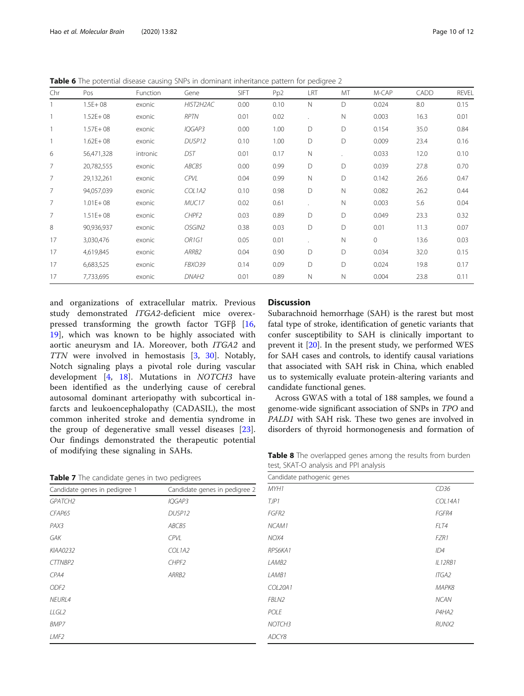<span id="page-9-0"></span>Table 6 The potential disease causing SNPs in dominant inheritance pattern for pedigree 2

| Chr            | Pos          | Function | Gene              | SIFT | Pp <sub>2</sub> | LRT | MT           | M-CAP | CADD | <b>REVEL</b> |
|----------------|--------------|----------|-------------------|------|-----------------|-----|--------------|-------|------|--------------|
|                | $1.5E + 08$  | exonic   | HIST2H2AC         | 0.00 | 0.10            | Ν   | D            | 0.024 | 8.0  | 0.15         |
|                | $1.52E + 08$ | exonic   | RPTN              | 0.01 | 0.02            |     | $\mathsf{N}$ | 0.003 | 16.3 | 0.01         |
|                | $1.57E + 08$ | exonic   | IQGAP3            | 0.00 | 1.00            | D   | D            | 0.154 | 35.0 | 0.84         |
|                | $1.62E + 08$ | exonic   | DUSP12            | 0.10 | 1.00            | D   | D            | 0.009 | 23.4 | 0.16         |
| 6              | 56,471,328   | intronic | DST               | 0.01 | 0.17            | Ν   |              | 0.033 | 12.0 | 0.10         |
| 7              | 20,782,555   | exonic   | ABCB5             | 0.00 | 0.99            | D   | D            | 0.039 | 27.8 | 0.70         |
| $\overline{7}$ | 29,132,261   | exonic   | <b>CPVL</b>       | 0.04 | 0.99            | Ν   | D            | 0.142 | 26.6 | 0.47         |
| $\overline{7}$ | 94,057,039   | exonic   | COL1A2            | 0.10 | 0.98            | D   | $\mathsf{N}$ | 0.082 | 26.2 | 0.44         |
| $\overline{7}$ | $1.01E + 08$ | exonic   | MUC17             | 0.02 | 0.61            |     | $\mathsf{N}$ | 0.003 | 5.6  | 0.04         |
| $\overline{7}$ | $1.51E + 08$ | exonic   | CHPF2             | 0.03 | 0.89            | D   | D            | 0.049 | 23.3 | 0.32         |
| 8              | 90,936,937   | exonic   | OSGIN2            | 0.38 | 0.03            | D   | D            | 0.01  | 11.3 | 0.07         |
| 17             | 3,030,476    | exonic   | OR1G1             | 0.05 | 0.01            |     | $\mathsf{N}$ | 0     | 13.6 | 0.03         |
| 17             | 4,619,845    | exonic   | ARRB2             | 0.04 | 0.90            | D   | D            | 0.034 | 32.0 | 0.15         |
| 17             | 6,683,525    | exonic   | FBXO39            | 0.14 | 0.09            | D   | D            | 0.024 | 19.8 | 0.17         |
| 17             | 7,733,695    | exonic   | DNAH <sub>2</sub> | 0.01 | 0.89            | Ν   | $\mathsf{N}$ | 0.004 | 23.8 | 0.11         |

and organizations of extracellular matrix. Previous study demonstrated ITGA2-deficient mice overexpressed transforming the growth factor TGFβ [\[16](#page-11-0), [19\]](#page-11-0), which was known to be highly associated with aortic aneurysm and IA. Moreover, both ITGA2 and TTN were involved in hemostasis [[3](#page-10-0), [30\]](#page-11-0). Notably, Notch signaling plays a pivotal role during vascular development [[4,](#page-10-0) [18\]](#page-11-0). Mutations in NOTCH3 have been identified as the underlying cause of cerebral autosomal dominant arteriopathy with subcortical infarcts and leukoencephalopathy (CADASIL), the most common inherited stroke and dementia syndrome in the group of degenerative small vessel diseases [\[23](#page-11-0)]. Our findings demonstrated the therapeutic potential of modifying these signaling in SAHs.

| Table 7 The candidate genes in two pedigrees |  |  |
|----------------------------------------------|--|--|
|----------------------------------------------|--|--|

| Candidate genes in pedigree 1 | Candidate genes in pedigree 2 |
|-------------------------------|-------------------------------|
| <b>GPATCH2</b>                | IQGAP3                        |
| CFAP65                        | DUSP12                        |
| PAX3                          | ABCB5                         |
| GAK                           | CPVL                          |
| KIAA0232                      | COL1A2                        |
| CTTNBP2                       | CHPF2                         |
| CPA4                          | ARRB2                         |
| ODF <sub>2</sub>              |                               |
| NEURL4                        |                               |
| LLGL2                         |                               |
| BMP7                          |                               |
| LMF <sub>2</sub>              |                               |

# **Discussion**

Subarachnoid hemorrhage (SAH) is the rarest but most fatal type of stroke, identification of genetic variants that confer susceptibility to SAH is clinically important to prevent it [[20\]](#page-11-0). In the present study, we performed WES for SAH cases and controls, to identify causal variations that associated with SAH risk in China, which enabled us to systemically evaluate protein-altering variants and candidate functional genes.

Across GWAS with a total of 188 samples, we found a genome-wide significant association of SNPs in TPO and PALD1 with SAH risk. These two genes are involved in disorders of thyroid hormonogenesis and formation of

Table 8 The overlapped genes among the results from burden test, SKAT-O analysis and PPI analysis

| Candidate pathogenic genes |                |
|----------------------------|----------------|
| MYH1                       | CD36           |
| TJP1                       | <b>COL14A1</b> |
| FGFR2                      | FGFR4          |
| NCAM1                      | FLT4           |
| NOX4                       | FZR1           |
| RPS6KA1                    | ID4            |
| LAMB <sub>2</sub>          | IL12RB1        |
| LAMB1                      | <b>ITGA2</b>   |
| COL20A1                    | МАРК8          |
| FBLN2                      | <b>NCAN</b>    |
| POLE                       | P4HA2          |
| NOTCH <sub>3</sub>         | RUNX2          |
| ADCY8                      |                |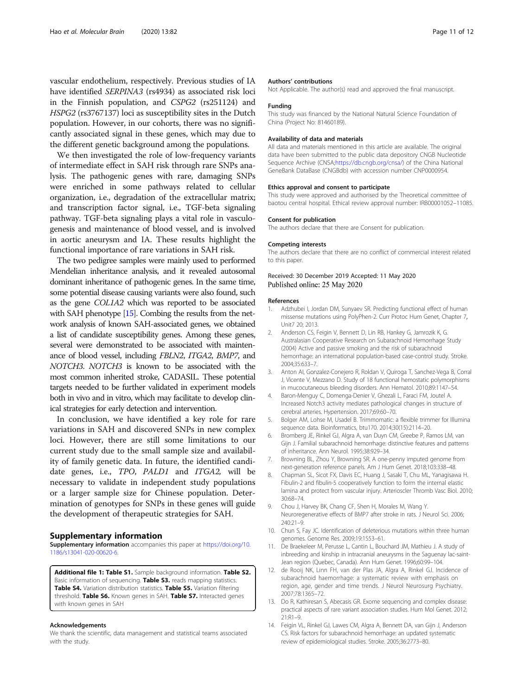<span id="page-10-0"></span>vascular endothelium, respectively. Previous studies of IA have identified SERPINA3 (rs4934) as associated risk loci in the Finnish population, and CSPG2 (rs251124) and HSPG2 (rs3767137) loci as susceptibility sites in the Dutch population. However, in our cohorts, there was no significantly associated signal in these genes, which may due to the different genetic background among the populations.

We then investigated the role of low-frequency variants of intermediate effect in SAH risk through rare SNPs analysis. The pathogenic genes with rare, damaging SNPs were enriched in some pathways related to cellular organization, i.e., degradation of the extracellular matrix; and transcription factor signal, i.e., TGF-beta signaling pathway. TGF-beta signaling plays a vital role in vasculogenesis and maintenance of blood vessel, and is involved in aortic aneurysm and IA. These results highlight the functional importance of rare variations in SAH risk.

The two pedigree samples were mainly used to performed Mendelian inheritance analysis, and it revealed autosomal dominant inheritance of pathogenic genes. In the same time, some potential disease causing variants were also found, such as the gene COL1A2 which was reported to be associated with SAH phenotype [[15\]](#page-11-0). Combing the results from the network analysis of known SAH-associated genes, we obtained a list of candidate susceptibility genes. Among these genes, several were demonstrated to be associated with maintenance of blood vessel, including FBLN2, ITGA2, BMP7, and NOTCH3. NOTCH3 is known to be associated with the most common inherited stroke, CADASIL. These potential targets needed to be further validated in experiment models both in vivo and in vitro, which may facilitate to develop clinical strategies for early detection and intervention.

In conclusion, we have identified a key role for rare variations in SAH and discovered SNPs in new complex loci. However, there are still some limitations to our current study due to the small sample size and availability of family genetic data. In future, the identified candidate genes, i.e., TPO, PALD1 and ITGA2, will be necessary to validate in independent study populations or a larger sample size for Chinese population. Determination of genotypes for SNPs in these genes will guide the development of therapeutic strategies for SAH.

# Supplementary information

Supplementary information accompanies this paper at [https://doi.org/10.](https://doi.org/10.1186/s13041-020-00620-6) [1186/s13041-020-00620-6](https://doi.org/10.1186/s13041-020-00620-6).

Additional file 1: Table S1. Sample background information. Table S2. Basic information of sequencing. Table S3. reads mapping statistics. Table S4. Variation distribution statistics. Table S5. Variation filtering threshold. Table S6. Known genes in SAH. Table S7. Interacted genes with known genes in SAH

#### Acknowledgements

We thank the scientific, data management and statistical teams associated with the study.

#### Authors' contributions

Not Applicable. The author(s) read and approved the final manuscript.

#### Funding

This study was financed by the National Natural Science Foundation of China (Project No: 81460189).

#### Availability of data and materials

All data and materials mentioned in this article are available. The original data have been submitted to the public data depository CNGB Nucleotide Sequence Archive (CNSA[;https://db.cngb.org/cnsa/\)](https://db.cngb.org/cnsa/) of the China National GeneBank DataBase (CNGBdb) with accession number CNP0000954.

#### Ethics approval and consent to participate

This study were approved and authorised by the Theoretical committee of baotou central hospital. Ethical review approval number: IRB00001052–11085.

#### Consent for publication

The authors declare that there are Consent for publication.

#### Competing interests

The authors declare that there are no conflict of commercial interest related to this paper.

# Received: 30 December 2019 Accepted: 11 May 2020 Published online: 25 May 2020

#### References

- 1. Adzhubei I, Jordan DM, Sunyaev SR. Predicting functional effect of human missense mutations using PolyPhen-2. Curr Protoc Hum Genet, Chapter 7, Unit7 20; 2013.
- 2. Anderson CS, Feigin V, Bennett D, Lin RB, Hankey G, Jamrozik K, G. Australasian Cooperative Research on Subarachnoid Hemorrhage Study (2004) Active and passive smoking and the risk of subarachnoid hemorrhage: an international population-based case-control study. Stroke. 2004;35:633–7.
- 3. Anton AI, Gonzalez-Conejero R, Roldan V, Quiroga T, Sanchez-Vega B, Corral J, Vicente V, Mezzano D. Study of 18 functional hemostatic polymorphisms in mucocutaneous bleeding disorders. Ann Hematol. 2010;89:1147–54.
- 4. Baron-Menguy C, Domenga-Denier V, Ghezali L, Faraci FM, Joutel A. Increased Notch3 activity mediates pathological changes in structure of cerebral arteries. Hypertension. 2017;69:60–70.
- 5. Bolger AM, Lohse M, Usadel B. Trimmomatic: a flexible trimmer for Illumina sequence data. Bioinformatics, btu170. 2014;30(15):2114–20.
- 6. Bromberg JE, Rinkel GJ, Algra A, van Duyn CM, Greebe P, Ramos LM, van Gijn J. Familial subarachnoid hemorrhage: distinctive features and patterns of inheritance. Ann Neurol. 1995;38:929–34.
- 7. Browning BL, Zhou Y, Browning SR. A one-penny imputed genome from next-generation reference panels. Am J Hum Genet. 2018;103:338–48.
- 8. Chapman SL, Sicot FX, Davis EC, Huang J, Sasaki T, Chu ML, Yanagisawa H. Fibulin-2 and fibulin-5 cooperatively function to form the internal elastic lamina and protect from vascular injury. Arterioscler Thromb Vasc Biol. 2010; 30:68–74.
- 9. Chou J, Harvey BK, Chang CF, Shen H, Morales M, Wang Y. Neuroregenerative effects of BMP7 after stroke in rats. J Neurol Sci. 2006; 240:21–9.
- 10. Chun S, Fay JC. Identification of deleterious mutations within three human genomes. Genome Res. 2009;19:1553–61.
- 11. De Braekeleer M, Perusse L, Cantin L, Bouchard JM, Mathieu J. A study of inbreeding and kinship in intracranial aneurysms in the Saguenay lac-saint-Jean region (Quebec, Canada). Ann Hum Genet. 1996;60:99–104.
- 12. de Rooij NK, Linn FH, van der Plas JA, Algra A, Rinkel GJ. Incidence of subarachnoid haemorrhage: a systematic review with emphasis on region, age, gender and time trends. J Neurol Neurosurg Psychiatry. 2007;78:1365–72.
- 13. Do R, Kathiresan S, Abecasis GR. Exome sequencing and complex disease: practical aspects of rare variant association studies. Hum Mol Genet. 2012; 21:R1–9.
- 14. Feigin VL, Rinkel GJ, Lawes CM, Algra A, Bennett DA, van Gijn J, Anderson CS. Risk factors for subarachnoid hemorrhage: an updated systematic review of epidemiological studies. Stroke. 2005;36:2773–80.